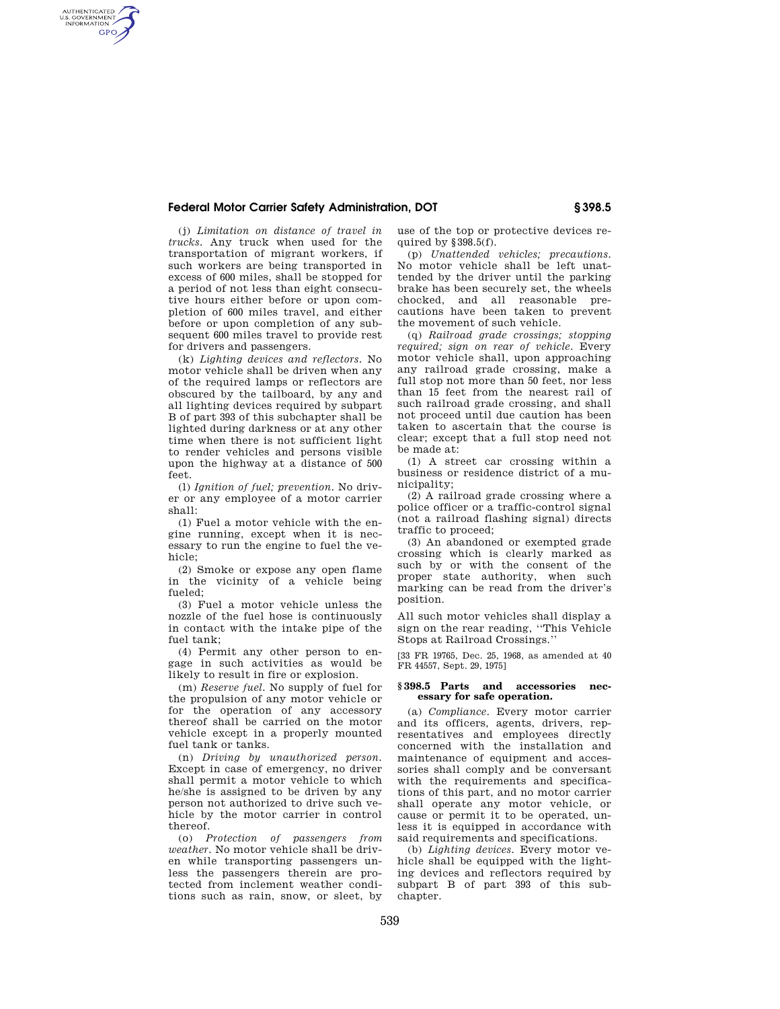# **Federal Motor Carrier Safety Administration, DOT § 398.5**

(j) *Limitation on distance of travel in trucks.* Any truck when used for the transportation of migrant workers, if such workers are being transported in excess of 600 miles, shall be stopped for a period of not less than eight consecutive hours either before or upon completion of 600 miles travel, and either before or upon completion of any subsequent 600 miles travel to provide rest for drivers and passengers.

AUTHENTICATED<br>U.S. GOVERNMENT<br>INFORMATION **GPO** 

> (k) *Lighting devices and reflectors.* No motor vehicle shall be driven when any of the required lamps or reflectors are obscured by the tailboard, by any and all lighting devices required by subpart B of part 393 of this subchapter shall be lighted during darkness or at any other time when there is not sufficient light to render vehicles and persons visible upon the highway at a distance of 500 feet.

> (l) *Ignition of fuel; prevention.* No driver or any employee of a motor carrier shall:

> (1) Fuel a motor vehicle with the engine running, except when it is necessary to run the engine to fuel the vehicle;

> (2) Smoke or expose any open flame in the vicinity of a vehicle being fueled;

> (3) Fuel a motor vehicle unless the nozzle of the fuel hose is continuously in contact with the intake pipe of the fuel tank;

> (4) Permit any other person to engage in such activities as would be likely to result in fire or explosion.

> (m) *Reserve fuel.* No supply of fuel for the propulsion of any motor vehicle or for the operation of any accessory thereof shall be carried on the motor vehicle except in a properly mounted fuel tank or tanks.

> (n) *Driving by unauthorized person.*  Except in case of emergency, no driver shall permit a motor vehicle to which he/she is assigned to be driven by any person not authorized to drive such vehicle by the motor carrier in control thereof.

> (o) *Protection of passengers from weather.* No motor vehicle shall be driven while transporting passengers unless the passengers therein are protected from inclement weather conditions such as rain, snow, or sleet, by

use of the top or protective devices required by §398.5(f).

(p) *Unattended vehicles; precautions.*  No motor vehicle shall be left unattended by the driver until the parking brake has been securely set, the wheels chocked, and all reasonable precautions have been taken to prevent the movement of such vehicle.

(q) *Railroad grade crossings; stopping required; sign on rear of vehicle.* Every motor vehicle shall, upon approaching any railroad grade crossing, make a full stop not more than 50 feet, nor less than 15 feet from the nearest rail of such railroad grade crossing, and shall not proceed until due caution has been taken to ascertain that the course is clear; except that a full stop need not be made at:

(1) A street car crossing within a business or residence district of a municipality;

(2) A railroad grade crossing where a police officer or a traffic-control signal (not a railroad flashing signal) directs traffic to proceed;

(3) An abandoned or exempted grade crossing which is clearly marked as such by or with the consent of the proper state authority, when such marking can be read from the driver's position.

All such motor vehicles shall display a sign on the rear reading, ''This Vehicle Stops at Railroad Crossings.''

[33 FR 19765, Dec. 25, 1968, as amended at 40 FR 44557, Sept. 29, 1975]

### **§ 398.5 Parts and accessories necessary for safe operation.**

(a) *Compliance.* Every motor carrier and its officers, agents, drivers, representatives and employees directly concerned with the installation and maintenance of equipment and accessories shall comply and be conversant with the requirements and specifications of this part, and no motor carrier shall operate any motor vehicle, or cause or permit it to be operated, unless it is equipped in accordance with said requirements and specifications.

(b) *Lighting devices.* Every motor vehicle shall be equipped with the lighting devices and reflectors required by subpart B of part 393 of this subchapter.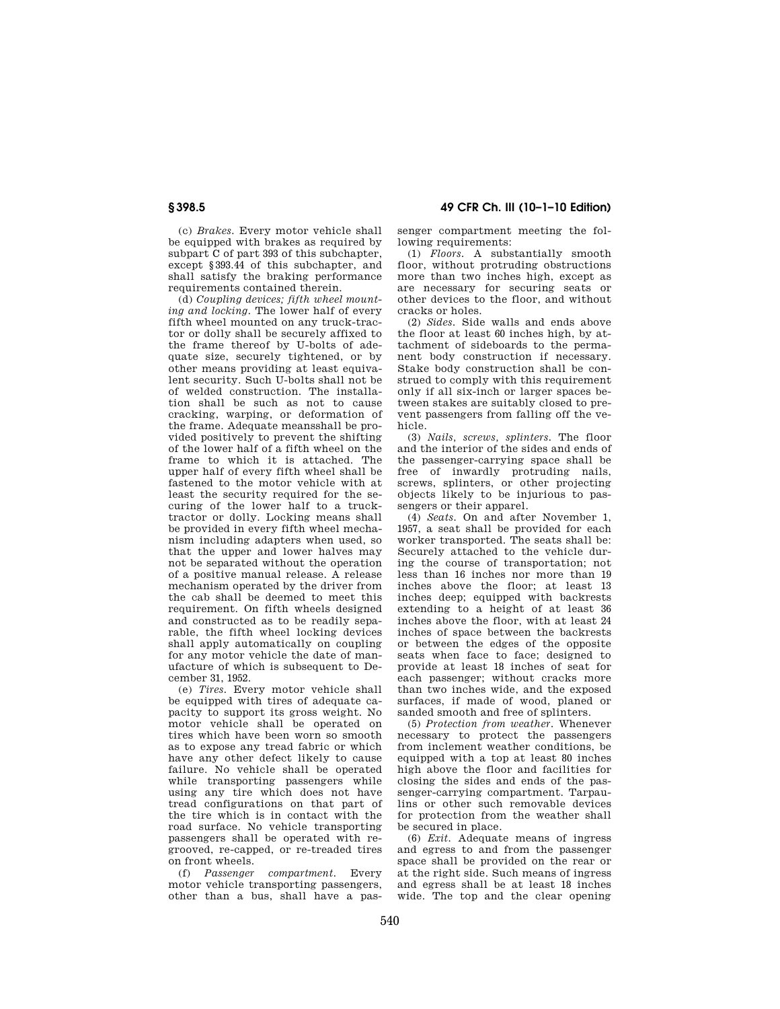(c) *Brakes.* Every motor vehicle shall be equipped with brakes as required by subpart C of part 393 of this subchapter, except §393.44 of this subchapter, and shall satisfy the braking performance requirements contained therein.

(d) *Coupling devices; fifth wheel mounting and locking.* The lower half of every fifth wheel mounted on any truck-tractor or dolly shall be securely affixed to the frame thereof by U-bolts of adequate size, securely tightened, or by other means providing at least equivalent security. Such U-bolts shall not be of welded construction. The installation shall be such as not to cause cracking, warping, or deformation of the frame. Adequate meansshall be provided positively to prevent the shifting of the lower half of a fifth wheel on the frame to which it is attached. The upper half of every fifth wheel shall be fastened to the motor vehicle with at least the security required for the securing of the lower half to a trucktractor or dolly. Locking means shall be provided in every fifth wheel mechanism including adapters when used, so that the upper and lower halves may not be separated without the operation of a positive manual release. A release mechanism operated by the driver from the cab shall be deemed to meet this requirement. On fifth wheels designed and constructed as to be readily separable, the fifth wheel locking devices shall apply automatically on coupling for any motor vehicle the date of manufacture of which is subsequent to December 31, 1952.

(e) *Tires.* Every motor vehicle shall be equipped with tires of adequate capacity to support its gross weight. No motor vehicle shall be operated on tires which have been worn so smooth as to expose any tread fabric or which have any other defect likely to cause failure. No vehicle shall be operated while transporting passengers while using any tire which does not have tread configurations on that part of the tire which is in contact with the road surface. No vehicle transporting passengers shall be operated with regrooved, re-capped, or re-treaded tires on front wheels.

(f) *Passenger compartment.* Every motor vehicle transporting passengers, other than a bus, shall have a pas-

**§ 398.5 49 CFR Ch. III (10–1–10 Edition)** 

senger compartment meeting the following requirements:

(1) *Floors.* A substantially smooth floor, without protruding obstructions more than two inches high, except as are necessary for securing seats or other devices to the floor, and without cracks or holes.

(2) *Sides.* Side walls and ends above the floor at least 60 inches high, by attachment of sideboards to the permanent body construction if necessary. Stake body construction shall be construed to comply with this requirement only if all six-inch or larger spaces between stakes are suitably closed to prevent passengers from falling off the vehicle.

(3) *Nails, screws, splinters.* The floor and the interior of the sides and ends of the passenger-carrying space shall be free of inwardly protruding nails, screws, splinters, or other projecting objects likely to be injurious to passengers or their apparel.

(4) *Seats.* On and after November 1, 1957, a seat shall be provided for each worker transported. The seats shall be: Securely attached to the vehicle during the course of transportation; not less than 16 inches nor more than 19 inches above the floor; at least 13 inches deep; equipped with backrests extending to a height of at least 36 inches above the floor, with at least 24 inches of space between the backrests or between the edges of the opposite seats when face to face; designed to provide at least 18 inches of seat for each passenger; without cracks more than two inches wide, and the exposed surfaces, if made of wood, planed or sanded smooth and free of splinters.

(5) *Protection from weather.* Whenever necessary to protect the passengers from inclement weather conditions, be equipped with a top at least 80 inches high above the floor and facilities for closing the sides and ends of the passenger-carrying compartment. Tarpaulins or other such removable devices for protection from the weather shall be secured in place.

(6) *Exit.* Adequate means of ingress and egress to and from the passenger space shall be provided on the rear or at the right side. Such means of ingress and egress shall be at least 18 inches wide. The top and the clear opening